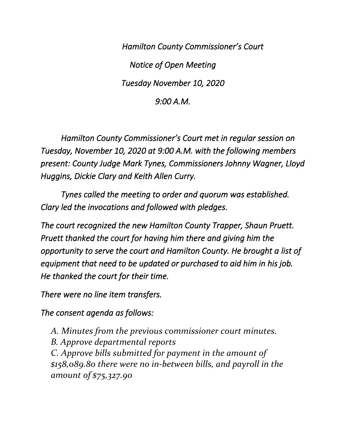*Hamilton County Commissioner's Court Notice of Open Meeting Tuesday November 10, 2020 9:00 A.M.* 

 *Hamilton County Commissioner's Court met in regular session on Tuesday, November 10, 2020 at 9:00 A.M. with the following members present: County Judge Mark Tynes, Commissioners Johnny Wagner, Lloyd Huggins, Dickie Clary and Keith Allen Curry.* 

 *Tynes called the meeting to order and quorum was established. Clary led the invocations and followed with pledges.* 

*The court recognized the new Hamilton County Trapper, Shaun Pruett. Pruett thanked the court for having him there and giving him the opportunity to serve the court and Hamilton County. He brought a list of equipment that need to be updated or purchased to aid him in his job. He thanked the court for their time.* 

*There were no line item transfers.* 

*The consent agenda as follows:* 

*A. Minutes from the previous commissioner court minutes. B. Approve departmental reports C. Approve bills submitted for payment in the amount of \$158,089.80 there were no in-between bills, and payroll in the amount of \$75,327.90*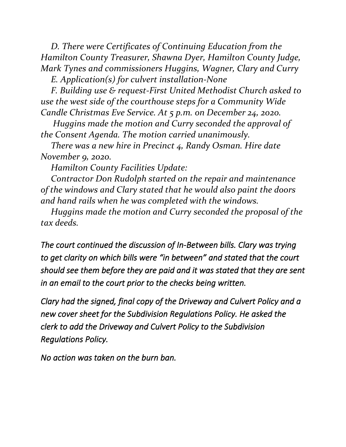*D. There were Certificates of Continuing Education from the Hamilton County Treasurer, Shawna Dyer, Hamilton County Judge, Mark Tynes and commissioners Huggins, Wagner, Clary and Curry* 

*E. Application(s) for culvert installation-None*

*F. Building use & request-First United Methodist Church asked to use the west side of the courthouse steps for a Community Wide Candle Christmas Eve Service. At 5 p.m. on December 24, 2020.*

*Huggins made the motion and Curry seconded the approval of the Consent Agenda. The motion carried unanimously.* 

*There was a new hire in Precinct 4, Randy Osman. Hire date November 9, 2020.*

*Hamilton County Facilities Update:*

*Contractor Don Rudolph started on the repair and maintenance of the windows and Clary stated that he would also paint the doors and hand rails when he was completed with the windows.*

*Huggins made the motion and Curry seconded the proposal of the tax deeds.*

*The court continued the discussion of In-Between bills. Clary was trying to get clarity on which bills were "in between" and stated that the court should see them before they are paid and it was stated that they are sent in an email to the court prior to the checks being written.* 

*Clary had the signed, final copy of the Driveway and Culvert Policy and a new cover sheet for the Subdivision Regulations Policy. He asked the clerk to add the Driveway and Culvert Policy to the Subdivision Regulations Policy.* 

*No action was taken on the burn ban.*